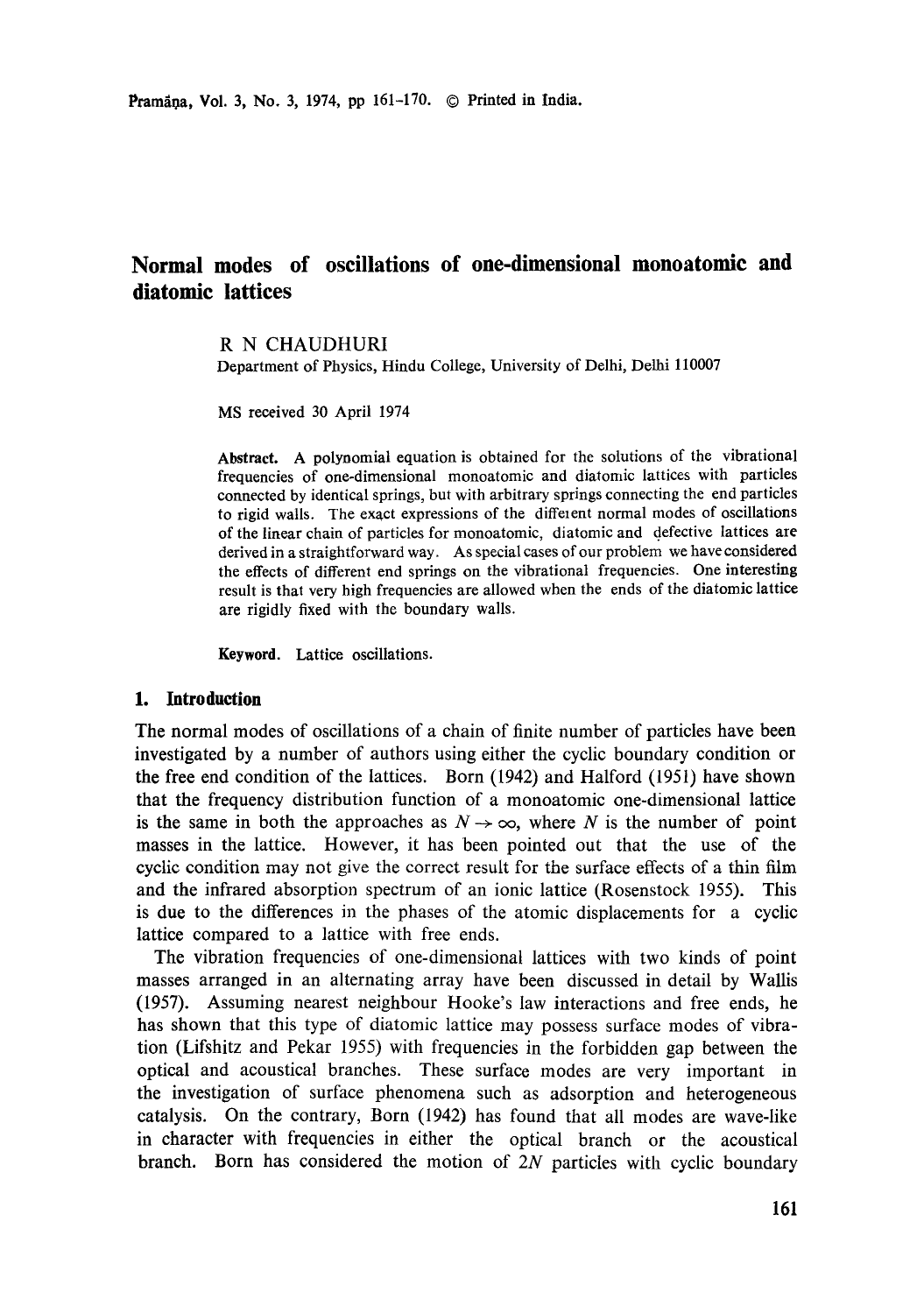# **Normal modes of oscillations of one-dimensional monoatomic and diatomie lattices**

# **R N** CHAUDHURI

Department of Physics, Hindu College, University of Delhi, Delhi 110007

MS received 30 April 1974

**Abstract.** A polynomial equation is obtained for the solutions of the vibrational frequencies of one-dimensional monoatomic and diatomic lattices with particles connected by identical springs, but with arbitrary springs connecting the end particles to rigid walls. The exact expressions of the diffelent normal modes of oscillations of the linear chain of particles for monoatomic, diatomic and defective lattices are derived in a straightforward way. As special cases of our problem we have considered the effects of different end springs on the vibrational frequencies. One **interesting**  result is that very high frequencies are allowed when the ends of the diatomic **lattice**  are rigidly fixed with the boundary walls.

**Keyword. Lattice oscillations.** 

# **1. Introduction**

The normal modes of oscillations of a chain of finite number of particles have been investigated by a number of authors using either the cyclic boundary condition or the free end condition of the lattices. Born (1942) and Halford (1951) have shown that the frequency distribution function of a monoatomic one-dimensional lattice is the same in both the approaches as  $N \rightarrow \infty$ , where N is the number of point masses in the lattice. However, it has been pointed out that the use of the cyclic condition may not give the correct result for the surface effects of a thin film and the infrared absorption spectrum of an ionic lattice (Rosenstock 1955). This is due to the differences in the phases of the atomic displacements for a cyclic lattice compared to a lattice with free ends.

The vibration frequencies of one-dimensional lattices with two kinds of point masses arranged in an alternating array have been discussed in detail by Wallis (1957). Assuming nearest neighbour Hooke's law interactions and free ends, he has shown that this type of diatomic lattice may possess surface modes of vibration (Lifshitz and Pekar 1955) with frequencies in the forbidden gap between the optical and acoustical branches. These surface modes are very important in the investigation of surface phenomena such as adsorption and heterogeneous catalysis. On the contrary, Born (1942) has found that all modes are wave-like in character with frequencies in either the optical branch or the acoustical branch. Born has considered the motion of 2N particles with cyclic boundary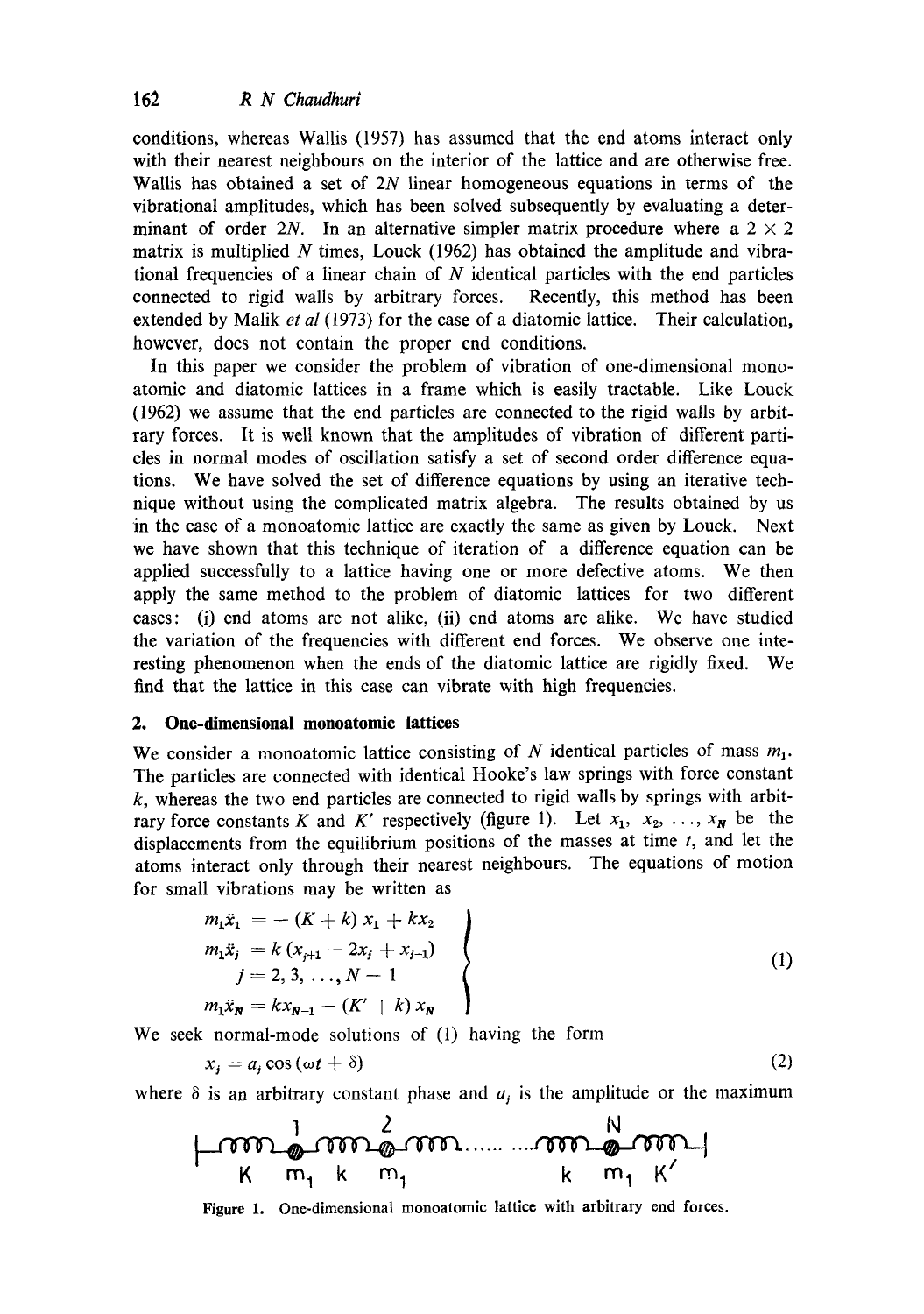conditions, whereas Wallis (1957) has assumed that the end atoms interact only with their nearest neighbours on the interior of the lattice and are otherwise free. Wallis has obtained a set of 2N linear homogeneous equations in terms of the vibrational amplitudes, which has been solved subsequently by evaluating a determinant of order 2N. In an alternative simpler matrix procedure where a  $2 \times 2$ matrix is multiplied N times, Louck  $(1962)$  has obtained the amplitude and vibrational frequencies of a linear chain of  $N$  identical particles with the end particles connected to rigid walls by arbitrary forces. Recently, this method has been extended by Malik *et al* (1973) for the case of a diatomic lattice. Their calculation, however, does not contain the proper end conditions.

In this paper we consider the problem of vibration of one-dimensional monoatomic and diatomic lattices in a frame which is easily tractable. Like Louck (1962) we assume that the end particles are connected to the rigid walls by arbitrary forces. It is well known that the amplitudes of vibration of different particles in normal modes of oscillation satisfy a set of second order difference equations. We have solved the set of difference equations by using an iterative technique without using the complicated matrix algebra. The results obtained by us in the case of a monoatomic lattice are exactly the same as given by Louck. Next we have shown that this technique of iteration of a difference equation can be applied successfully to a lattice having one or more defective atoms. We then apply the same method to the problem of diatomic lattices for two different cases: (i) end atoms are not alike, (ii) end atoms are alike. We have studied the variation of the frequencies with different end forces. We observe one interesting phenomenon when the ends of the diatomic lattice are rigidly fixed. We find that the lattice in this case can vibrate with high frequencies.

## **2. One-dimensional monoatomic lattices**

We consider a monoatomic lattice consisting of N identical particles of mass  $m_1$ . The particles are connected with identical Hooke's law springs with force constant  $k$ , whereas the two end particles are connected to rigid walls by springs with arbitrary force constants K and K' respectively (figure 1). Let  $x_1, x_2, \ldots, x_N$  be the displacements from the equilibrium positions of the masses at time  $t$ , and let the atoms interact only through their nearest neighbours. The equations of motion for small vibrations may be written as

$$
m_1\ddot{x}_1 = -(K + k) x_1 + kx_2
$$
  
\n
$$
m_1\ddot{x}_j = k (x_{j+1} - 2x_j + x_{j-1})
$$
  
\n
$$
j = 2, 3, ..., N - 1
$$
  
\n
$$
m_1\ddot{x}_N = kx_{N-1} - (K' + k)x_N
$$
  
\n(1)

We seek normal-mode solutions of (1) having the form

$$
x_i = a_i \cos(\omega t + \delta) \tag{2}
$$

where  $\delta$  is an arbitrary constant phase and  $a_j$  is the amplitude or the maximum

$$
\begin{array}{c}\n\downarrow \\
\downarrow \\
K & m_1 & k & m_1 \\
\downarrow \\
K & m_1 & k & m_1 \\
\end{array}
$$

Figure I. One-dimensional monoatomic lattice with arbitrary end forces.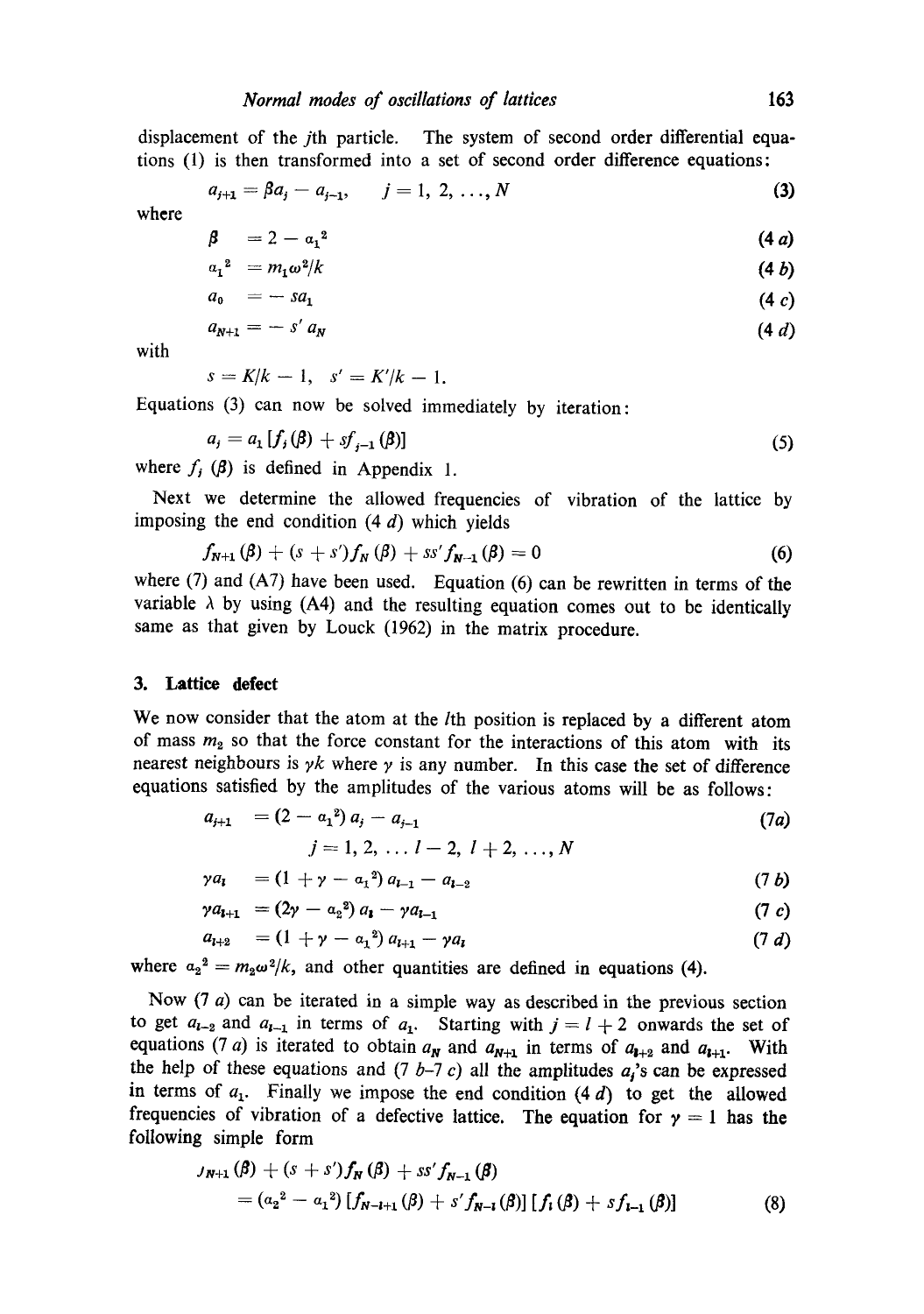displacement of the jth particle. The system of second order differential equations (1) is then transformed into a set of second order difference equations:

$$
a_{j+1} = \beta a_j - a_{j-1}, \qquad j = 1, 2, ..., N
$$
 (3)

where

$$
\beta = 2 - a_1^2 \tag{4a}
$$

$$
a_1^2 = m_1 \omega^2 / k \tag{4 b}
$$

$$
a_0 = -sa_1 \tag{4 c}
$$

$$
a_{N+1} = -s' a_N \tag{4 d}
$$

with

$$
s = K/k - 1, \quad s' = K'/k - 1.
$$

Equations (3) can now be solved immediately by iteration:

$$
a_j = a_1 [f_j(\beta) + sf_{j-1}(\beta)] \tag{5}
$$

where  $f<sub>i</sub>$  ( $\beta$ ) is defined in Appendix 1.

Next we determine the allowed frequencies of vibration of the lattice by imposing the end condition  $(4 d)$  which yields

$$
f_{N+1}(\beta) + (s+s')f_N(\beta) + ss'f_{N-1}(\beta) = 0
$$
 (6)

where  $(7)$  and  $(A7)$  have been used. Equation  $(6)$  can be rewritten in terms of the variable  $\lambda$  by using (A4) and the resulting equation comes out to be identically same as that given by Louck (1962) in the matrix procedure.

#### **3. Lattice defect**

We now consider that the atom at the *l*th position is replaced by a different atom of mass  $m_2$  so that the force constant for the interactions of this atom with its nearest neighbours is  $\gamma k$  where  $\gamma$  is any number. In this case the set of difference equations satisfied by the amplitudes of the various atoms will be as follows:

$$
a_{j+1} = (2 - a_1^2) a_j - a_{j-1}
$$
  
\n
$$
j = 1, 2, ..., l-2, l+2, ..., N
$$
\n(7a)

$$
\gamma a_{i} = (1 + \gamma - a_{1}^{2}) a_{i-1} - a_{i-2} \tag{7 b}
$$

$$
\gamma a_{l+1} = (2\gamma - a_2^2) a_l - \gamma a_{l-1} \tag{7 c}
$$

$$
a_{l+2} = (1 + \gamma - a_1^2) a_{l+1} - \gamma a_l \tag{7 d}
$$

where  $a_2^2 = m_2 \omega^2 / k$ , and other quantities are defined in equations (4).

Now  $(7 a)$  can be iterated in a simple way as described in the previous section to get  $a_{i-2}$  and  $a_{i-1}$  in terms of  $a_1$ . Starting with  $j = l + 2$  onwards the set of equations (7 a) is iterated to obtain  $a_N$  and  $a_{N+1}$  in terms of  $a_{l+2}$  and  $a_{l+1}$ . With the help of these equations and  $(7 b-7 c)$  all the amplitudes  $a<sub>i</sub>$ 's can be expressed in terms of  $a_1$ . Finally we impose the end condition  $(4 d)$  to get the allowed frequencies of vibration of a defective lattice. The equation for  $y = 1$  has the following simple form

$$
J_{N+1}(\beta) + (s + s')f_N(\beta) + ss'f_{N-1}(\beta)
$$
  
=  $(a_2^2 - a_1^2) [f_{N-l+1}(\beta) + s'f_{N-1}(\beta)] [f_1(\beta) + sf_{l-1}(\beta)]$  (8)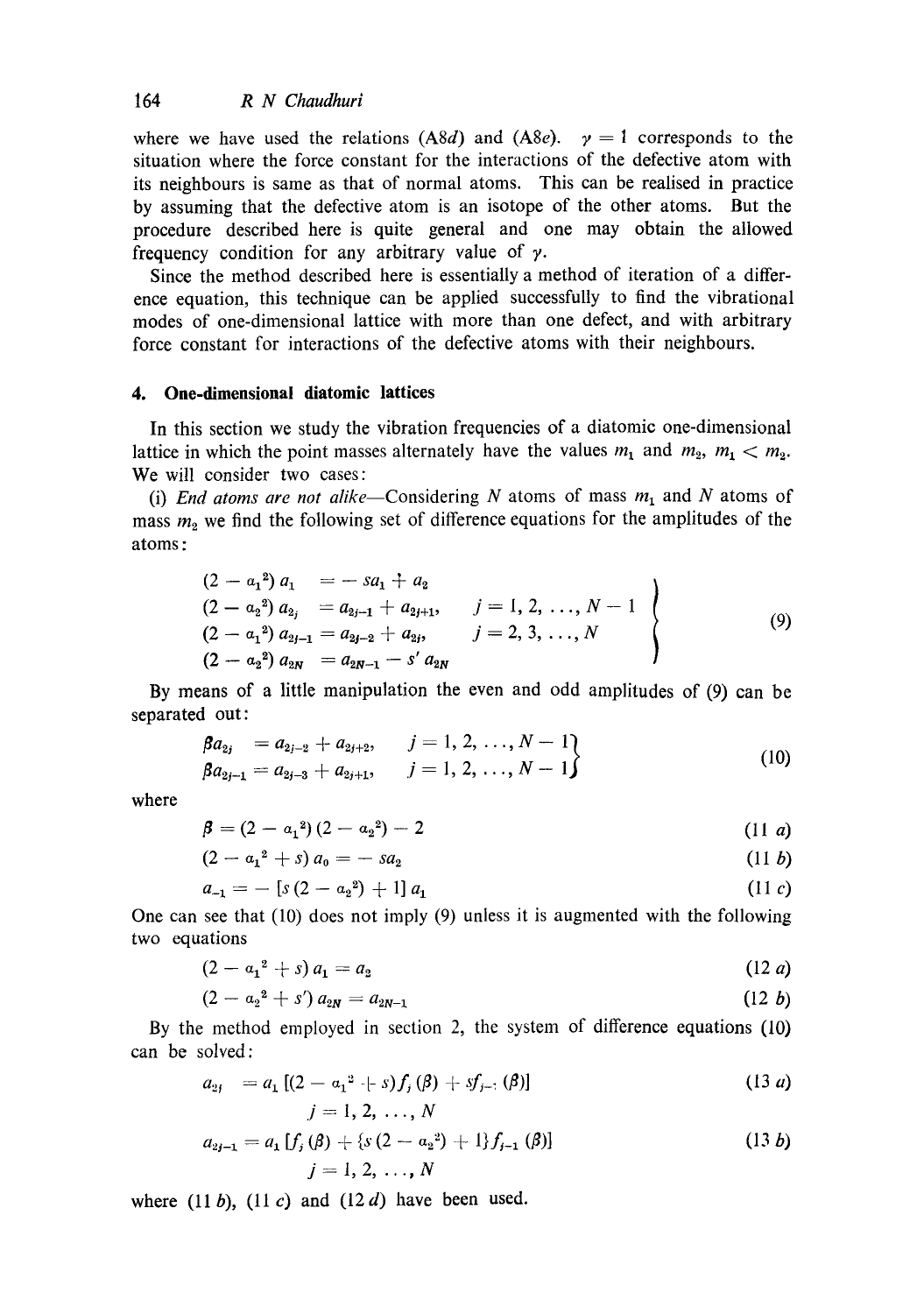where we have used the relations (A8d) and (A8e).  $y = 1$  corresponds to the situation where the force constant for the interactions of the defective atom with its neighbours is same as that of normal atoms. This can be realised in practice by assuming that the defective atom is an isotope of the other atoms. But the procedure described here is quite general and one may obtain the allowed frequency condition for any arbitrary value of  $\gamma$ .

Since the method described here is essentially a method of iteration of a difference equation, this technique can be applied successfully to find the vibrational modes of one-dimensional lattice with more than one defect, and with arbitrary force constant for interactions of the defective atoms with their neighbours.

# **4. One-dimensional diatomic lattices**

In this section we study the vibration frequencies of a diatomic one-dimensional lattice in which the point masses alternately have the values  $m_1$  and  $m_2$ ,  $m_1 < m_2$ . We will consider two cases:

(i) *End atoms are not alike*-Considering  $N$  atoms of mass  $m_1$  and  $N$  atoms of mass  $m_2$  we find the following set of difference equations for the amplitudes of the atoms :

$$
(2 - a_12) a_1 = -sa_1 + a_2
$$
  
\n
$$
(2 - a_22) a_{2j} = a_{2j-1} + a_{2j+1}, \t j = 1, 2, ..., N-1
$$
  
\n
$$
(2 - a_12) a_{2j-1} = a_{2j-2} + a_{2j}, \t j = 2, 3, ..., N
$$
  
\n
$$
(2 - a_22) a_{2N} = a_{2N-1} - s' a_{2N}
$$
  
\n(9)

By means of a little manipulation the even and odd amplitudes of (9) can be separated out:

$$
\beta a_{2j} = a_{2j-2} + a_{2j+2}, \qquad j = 1, 2, ..., N-1\n\beta a_{2j-1} = a_{2j-3} + a_{2j+1}, \qquad j = 1, 2, ..., N-1
$$
\n(10)

where

$$
\beta = (2 - a_1^2)(2 - a_2^2) - 2 \tag{11 } a
$$

$$
(2 - a_1^2 + s) a_0 = -sa_2 \tag{11 } b
$$

$$
a_{-1} = -\left[s\left(2 - a_2^2\right) + 1\right] a_1 \tag{11 } c
$$

One can see that (10) does not imply (9) unless it is augmented with the following two equations

$$
(2 - a_1^2 + s) a_1 = a_2 \tag{12 } a
$$

$$
(2 - a_2^2 + s') a_{2N} = a_{2N-1}
$$
 (12 b)

By the method employed in section 2, the system of difference equations (10) can be solved:

$$
a_{2j} = a_1 [(2 - a_1^2 + s) f_j (\beta) + s f_{j-1} (\beta)]
$$
\n
$$
j = 1, 2, ..., N
$$
\n(13 a)

$$
a_{2j-1} = a_1 [f_j(\beta) + \{s(2 - a_2^2) + 1\} f_{j-1}(\beta)]
$$
\n
$$
j = 1, 2, ..., N
$$
\n(13*b*)

where  $(11 b)$ ,  $(11 c)$  and  $(12 d)$  have been used.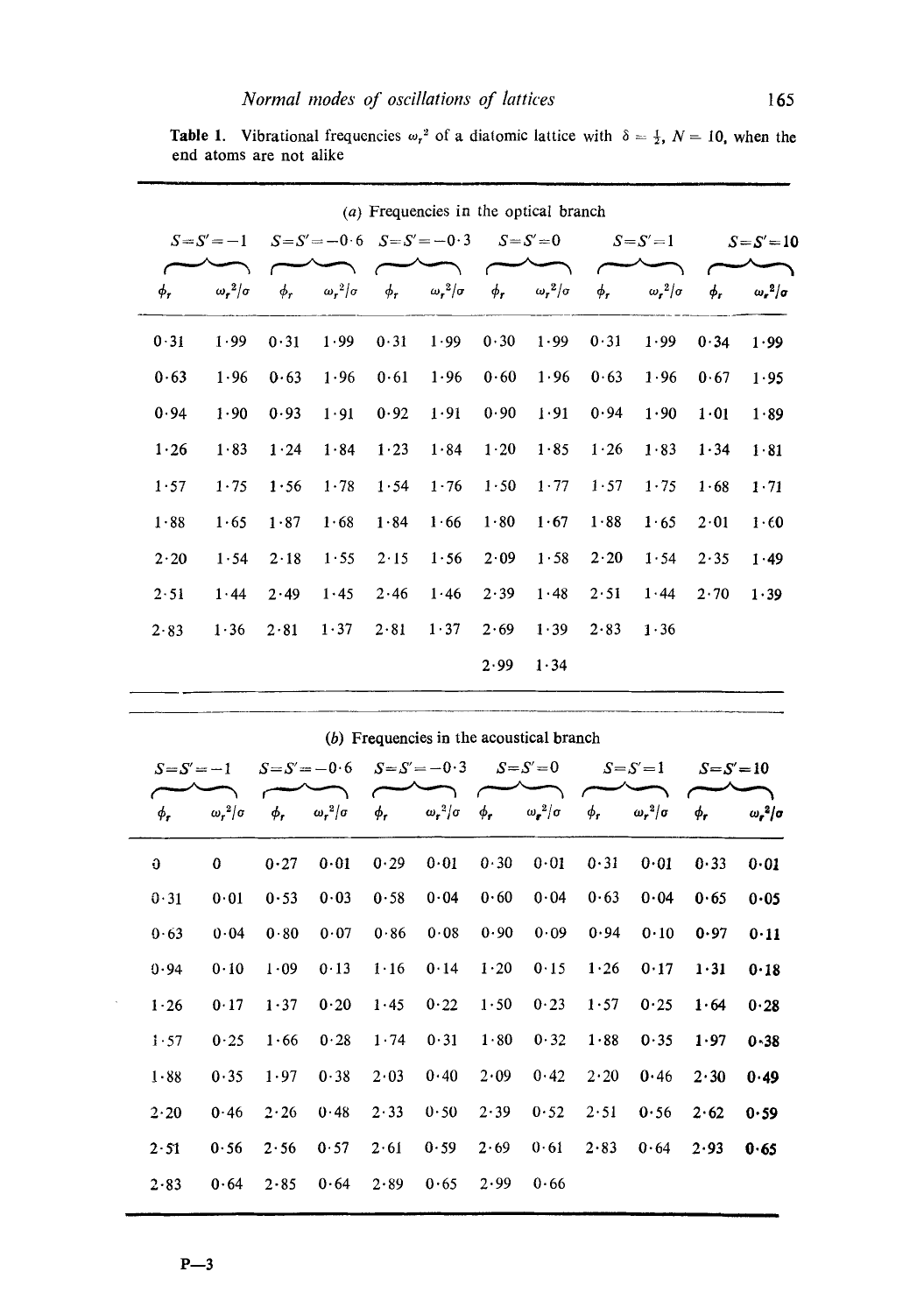|               | (a) Frequencies in the optical branch |                                 |          |                     |          |                     |          |                     |              |                     |                |                     |
|---------------|---------------------------------------|---------------------------------|----------|---------------------|----------|---------------------|----------|---------------------|--------------|---------------------|----------------|---------------------|
| $S = S' = -1$ |                                       | $S = S' = -0.6$ $S = S' = -0.3$ |          |                     |          | $S = S' = 0$        |          | $S = S' = 1$        |              | $S = S' = 10$       |                |                     |
|               | $\phi_r$                              | $\omega_r^2/\sigma$             | $\phi_r$ | $\omega_r^2/\sigma$ | $\phi_r$ | $\omega_r^2/\sigma$ | $\phi_r$ | $\omega_r^2/\sigma$ | $\phi_r$     | $\omega_r^2/\sigma$ | $\phi_{\bf r}$ | $\omega_r^2/\sigma$ |
|               | 0.31                                  | 1.99                            | 0.31     | 1.99                | 0.31     | 1.99                | 0.30     | 1.99                | 0.31         | 1.99                | 0.34           | 1.99                |
|               | 0.63                                  | 1.96                            | 0.63     | 1.96                | 0.61     | 1.96                | 0.60     | 1.96                | 0.63         | 1.96                | 0.67           | 1.95                |
|               | 0.94                                  | 1.90                            | 0.93     | 1.91                | 0.92     | 1.91                | 0.90     | 1.91                | 0.94         | 1.90                | 1.01           | 1.89                |
|               | 1.26                                  | 1.83                            | 1.24     | 1.84                | 1.23     | 1.84                | $1-20$   | $1.85$              | 1.26         | 1.83                | 1.34           | 1.81                |
|               | 1.57                                  | 1.75                            | 1.56     | 1.78                | 1.54     | 1.76                | 1.50     | 1.77                | 1.57         | 1.75                | 1.68           | 1.71                |
|               | 1.88                                  | 1.65                            | 1.87     | 1.68                | 1.84     | 1.66                | 1.80     | 1.67                | 1.88         | 1.65                | 2.01           | 1.60                |
|               | 2.20                                  | 1.54                            | 2.18     | 1.55                | 2.15     | 1.56                | 2.09     | 1.58                | $2 \cdot 20$ | 1.54                | 2.35           | 1.49                |
|               | 2.51                                  | 1.44                            | 2.49     | 1.45                | 2.46     | 1.46                | 2.39     | 1.48                | 2.51         | 1.44                | 2.70           | 1.39                |
|               | 2.83                                  | 1.36                            | 2.81     | 1.37                | 2.81     | 1.37                | 2.69     | 1.39                | 2.83         | 1.36                |                |                     |
|               |                                       |                                 |          |                     |          |                     | 2.99     | 1.34                |              |                     |                |                     |
|               |                                       |                                 |          |                     |          |                     |          |                     |              |                     |                |                     |

**Table 1.** Vibrational frequencies  $\omega_r^2$  of a diatomic lattice with  $\delta = \frac{1}{2}$ ,  $N = 10$ , when the end atoms are not alike

|  | (b) Frequencies in the acoustical branch |  |  |  |  |  |
|--|------------------------------------------|--|--|--|--|--|
|--|------------------------------------------|--|--|--|--|--|

| $S=S'=-1$      |                        | $S = S' = -0.6$ |                     | $S = S' = -0.3$ |                     | $S = S' = 0$ |                     | $S = S' = 1$   |                     | $S = S' = 10$ |                     |
|----------------|------------------------|-----------------|---------------------|-----------------|---------------------|--------------|---------------------|----------------|---------------------|---------------|---------------------|
| $\phi_{\bf r}$ | $\omega$ , $^2/\sigma$ | $\phi_r$        | $\omega_r^2/\sigma$ | $\phi_r$        | $\omega_r^2/\sigma$ | $\phi_r$     | $\omega_r^2/\sigma$ | $\phi_{\bf r}$ | $\omega_r^2/\sigma$ | $\phi_r$      | $\omega_r^2/\sigma$ |
| Û              | $\Omega$               | 0.27            | 0.01                | 0.29            | 0.01                | 0.30         | 0.01                | 0.31           | 0.01                | 0.33          | 0.01                |
| 0.31           | 0.01                   | 0.53            | 0.03                | 0.58            | 0.04                | 0.60         | 0.04                | 0.63           | 0.04                | 0.65          | $0 - 05$            |
| 0.63           | 0.04                   | 0.80            | 0.07                | 0.86            | 0.08                | 0.90         | 0.09                | 0.94           | 0.10                | 0.97          | 0.11                |
| 0.94           | 0.10                   | 1.09            | 0.13                | 1.16            | 0.14                | 1.20         | 0.15                | 1.26           | 0.17                | 1.31          | 0.18                |
| 1.26           | 0.17                   | 1.37            | 0.20                | 1.45            | 0.22                | 1.50         | 0.23                | 1.57           | 0.25                | 1.64          | 0.28                |
| 1.57           | 0.25                   | 1.66            | 0.28                | 1.74            | 0.31                | 1.80         | 0.32                | 1.88           | 0.35                | 1.97          | $0 - 38$            |
| $1 - 88$       | 0.35                   | 1.97            | 0.38                | 2.03            | 0.40                | 2.09         | 0.42                | 2.20           | 0.46                | 2.30          | 0.49                |
| 2.20           | 0.46                   | 2.26            | 0.48                | 2.33            | 0.50                | 2.39         | 0.52                | 2.51           | 0.56                | 2.62          | 0.59                |
| 2.51           | 0.56                   | 2.56            | 0.57                | 2.61            | 0.59                | 2.69         | 0.61                | 2.83           | 0.64                | 2.93          | 0.65                |
| 2.83           | 0.64                   | 2.85            | 0.64                | 2.89            | 0.65                | 2.99         | 0.66                |                |                     |               |                     |

 $\sim$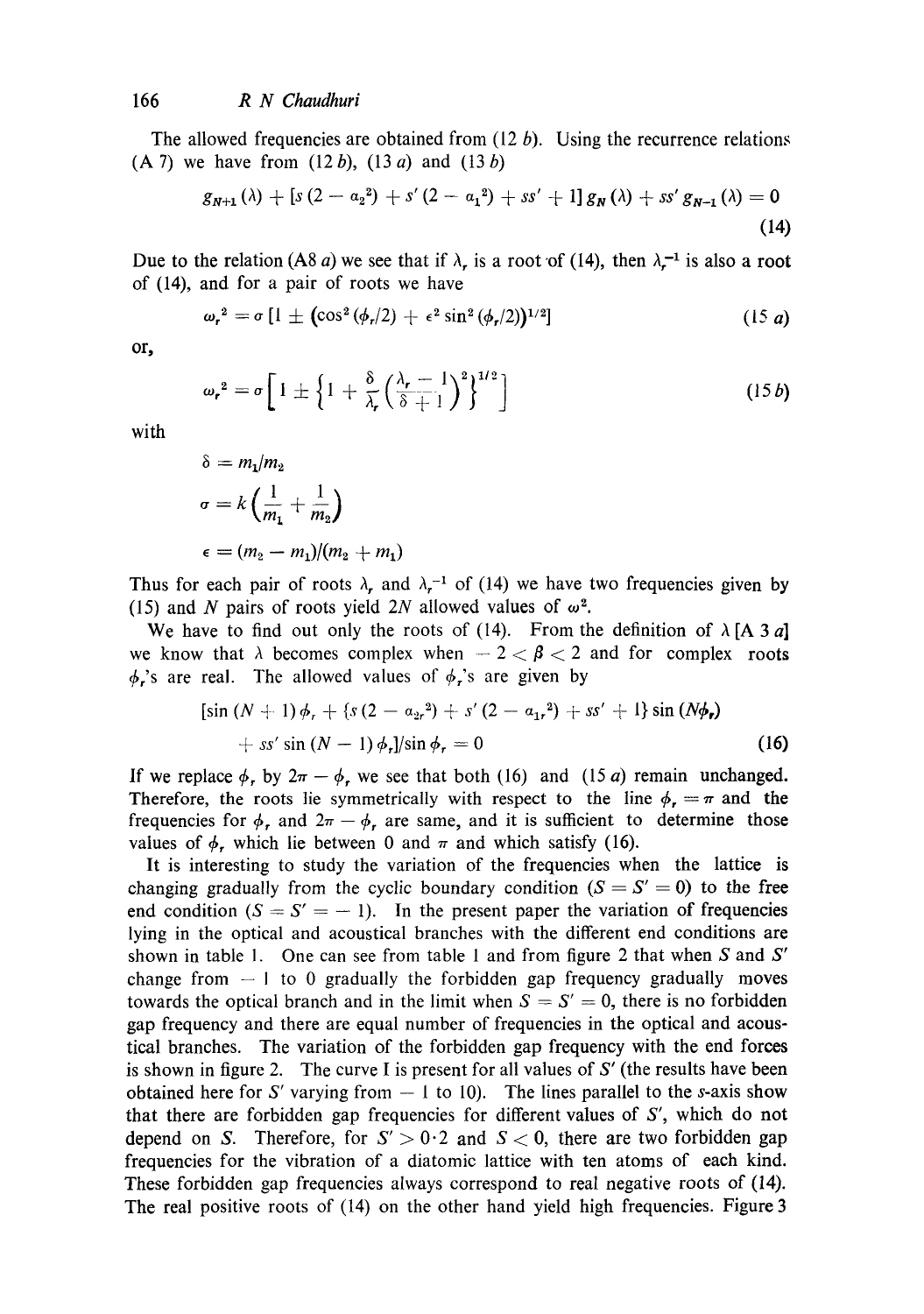The allowed frequencies are obtained from  $(12 b)$ . Using the recurrence relations  $(A 7)$  we have from  $(12 b)$ ,  $(13 a)$  and  $(13 b)$ 

$$
g_{N+1}(\lambda) + [s(2 - \alpha_2^2) + s'(2 - \alpha_1^2) + ss' + 1] g_N(\lambda) + ss' g_{N-1}(\lambda) = 0
$$
\n(14)

Due to the relation (A8 a) we see that if  $\lambda$ , is a root of (14), then  $\lambda^{-1}$  is also a root of (14), and for a pair of roots we have

$$
\omega_r^2 = \sigma \left[ 1 \pm \left( \cos^2 \left( \phi_r / 2 \right) + \epsilon^2 \sin^2 \left( \phi_r / 2 \right) \right)^{1/2} \right] \tag{15 a}
$$

or,

$$
\omega_r^2 = \sigma \left[ 1 \pm \left\{ 1 + \frac{\delta}{\lambda_r} \left( \frac{\lambda_r - 1}{\delta + 1} \right)^2 \right\}^{1/2} \right] \tag{15b}
$$

with

$$
\delta = m_1/m_2
$$
  
\n
$$
\sigma = k \left( \frac{1}{m_1} + \frac{1}{m_2} \right)
$$
  
\n
$$
\epsilon = (m_2 - m_1)/(m_2 + m_1)
$$

Thus for each pair of roots  $\lambda$ , and  $\lambda$ <sup>-1</sup> of (14) we have two frequencies given by (15) and N pairs of roots yield 2N allowed values of  $\omega^2$ .

We have to find out only the roots of (14). From the definition of  $\lambda$  [A 3 a] we know that  $\lambda$  becomes complex when  $-2 < \beta < 2$  and for complex roots  $\phi$ ,'s are real. The allowed values of  $\phi$ ,'s are given by

$$
[\sin (N + 1) \phi_r + \{s (2 - \alpha_{2r}^2) + s' (2 - \alpha_{1r}^2) + ss' + 1\} \sin (N\phi_r) + ss' \sin (N - 1) \phi_r] / \sin \phi_r = 0
$$
\n(16)

If we replace  $\phi$ , by  $2\pi - \phi$ , we see that both (16) and (15 a) remain unchanged. Therefore, the roots lie symmetrically with respect to the line  $\phi_r = \pi$  and the frequencies for  $\phi_r$ , and  $2\pi - \phi_r$ , are same, and it is sufficient to determine those values of  $\phi$ , which lie between 0 and  $\pi$  and which satisfy (16).

It is interesting to study the variation of the frequencies when the lattice is changing gradually from the cyclic boundary condition  $(S = S' = 0)$  to the free end condition  $(S = S' = -1)$ . In the present paper the variation of frequencies lying in the optical and acoustical branches with the different end conditions are shown in table 1. One can see from table 1 and from figure 2 that when S and  $S'$ change from  $-1$  to 0 gradually the forbidden gap frequency gradually moves towards the optical branch and in the limit when  $S = S' = 0$ , there is no forbidden gap frequency and there are equal number of frequencies in the optical and acoustical branches. The variation of the forbidden gap frequency with the end forces is shown in figure 2. The curve I is present for all values of  $S'$  (the results have been obtained here for S' varying from  $-1$  to 10). The lines parallel to the s-axis show that there are forbidden gap frequencies for different values of S', which do not depend on S. Therefore, for  $S' > 0.2$  and  $S < 0$ , there are two forbidden gap frequencies for the vibration of a diatomic lattice with ten atoms of each kind. These forbidden gap frequencies always correspond to real negative roots of (14). The real positive roots of (14) on the other hand yield high frequencies. Figure 3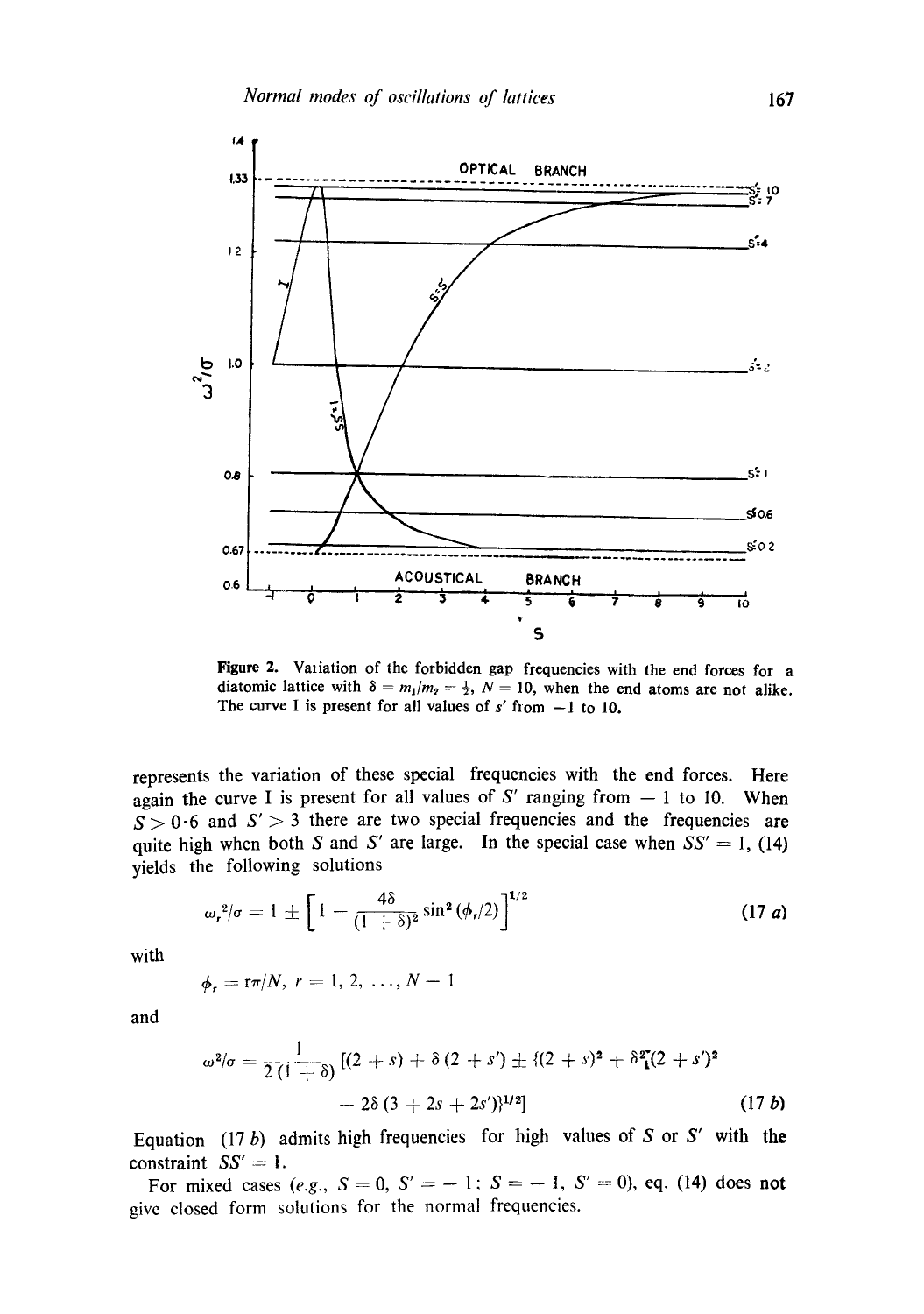

Figure 2. Variation of the forbidden gap frequencies with the end forces for a diatomic lattice with  $\delta = m_1/m_2 = \frac{1}{2}$ ,  $N = 10$ , when the end atoms are not alike. The curve I is present for all values of  $s'$  from  $-1$  to 10.

represents the variation of these special frequencies with the end forces. Here again the curve I is present for all values of S' ranging from  $-1$  to 10. When  $S > 0.6$  and  $S' > 3$  there are two special frequencies and the frequencies are quite high when both S and S' are large. In the special case when  $\overline{SS'} = 1$ , (14) yields the following solutions

$$
\omega_r^2/\sigma = 1 \pm \left[ 1 - \frac{4\delta}{(1+\delta)^2} \sin^2(\phi_r/2) \right]^{1/2}
$$
 (17 **a**)

with

$$
\phi_r = \frac{r\pi}{N}, r = 1, 2, ..., N - 1
$$

and

$$
\omega^{2}/\sigma = \frac{1}{2(1+ \delta)} \left[ (2+s) + \delta (2+s') \pm \{ (2+s)^{2} + \delta^{2} (2+s')^{2} - 2\delta (3+2s+2s') \}^{1/2} \right] \tag{17b}
$$

Equation (17 b) admits high frequencies for high values of S or S' with the constraint  $SS' = 1$ .

For mixed cases (e.g.,  $S = 0$ ,  $S' = -1$ ;  $S = -1$ ,  $S' = 0$ ), eq. (14) does not give closed form solutions for the normal frequencies.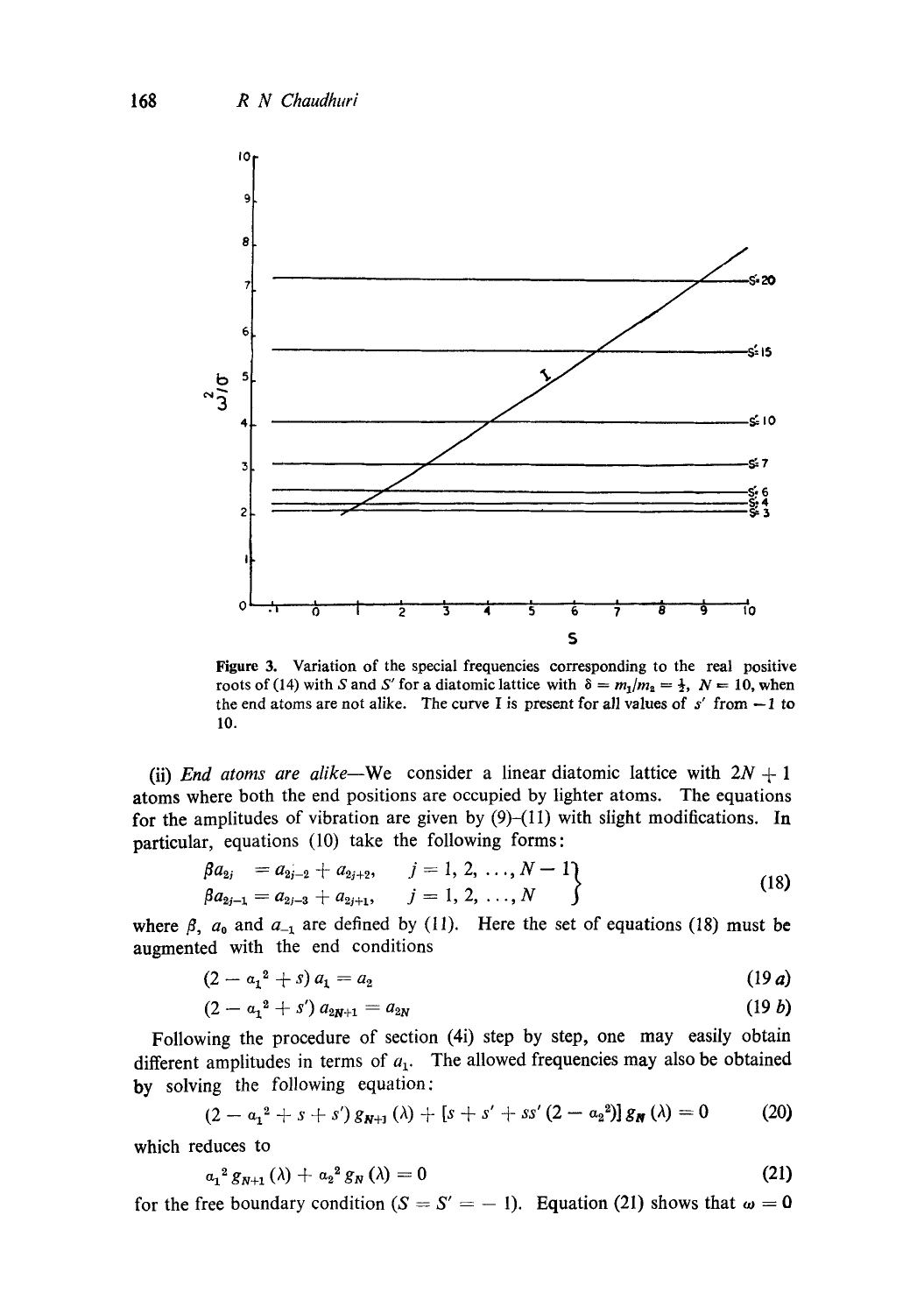

Figure 3. Variation of the special frequencies corresponding to the real positive roots of (14) with S and S' for a diatomic lattice with  $\delta = m_1/m_2 = \frac{1}{2}$ ,  $N = 10$ , when the end atoms are not alike. The curve I is present for all values of  $s'$  from  $-1$  to 10.

(ii) *End atoms are alike*—We consider a linear diatomic lattice with  $2N + 1$ atoms where both the end positions are occupied by lighter atoms. The equations for the amplitudes of vibration are given by  $(9)$ - $(11)$  with slight modifications. In particular, equations (10) take the following forms:

$$
\begin{cases}\n\beta a_{2j} = a_{2j-2} + a_{2j+2}, & j = 1, 2, ..., N-1 \\
\beta a_{2j-1} = a_{2j-3} + a_{2j+1}, & j = 1, 2, ..., N\n\end{cases}
$$
\n(18)

where  $\beta$ ,  $a_0$  and  $a_{-1}$  are defined by (11). Here the set of equations (18) must be augmented with the end conditions

$$
(2 - a_1^2 + s) a_1 = a_2 \tag{19 a}
$$

$$
(2 - a_1^2 + s') a_{2N+1} = a_{2N} \tag{19 b}
$$

Following the procedure of section (4i) step by step, one may easily obtain different amplitudes in terms of  $a_1$ . The allowed frequencies may also be obtained by solving the following equation:

$$
(2-a_1^2+s+s') g_{N+1}(\lambda) + [s+s'+ss'(2-a_2^2)] g_N(\lambda) = 0 \qquad (20)
$$

which reduces to

$$
a_1^2 g_{N+1}(\lambda) + a_2^2 g_N(\lambda) = 0 \tag{21}
$$

for the free boundary condition ( $S = S' = -1$ ). Equation (21) shows that  $\omega = 0$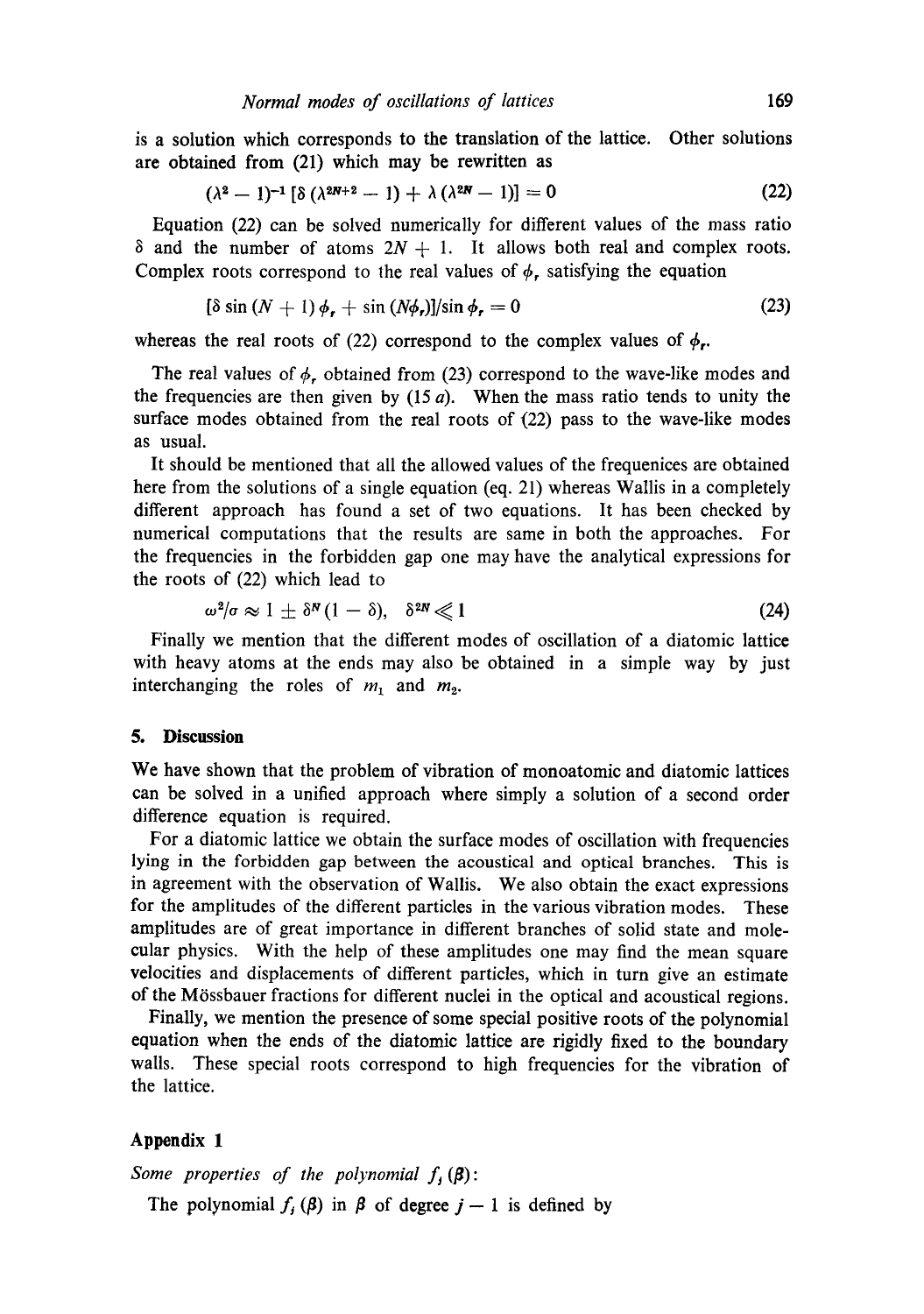is a solution which corresponds to the translation of the lattice. Other solutions are obtained from (21) which may be rewritten as

$$
(\lambda^2 - 1)^{-1} [\delta (\lambda^{2N+2} - 1) + \lambda (\lambda^{2N} - 1)] = 0
$$
 (22)

Equation (22) can be solved numerically for different values of the mass ratio  $\delta$  and the number of atoms  $2N + 1$ . It allows both real and complex roots. Complex roots correspond to the real values of  $\phi$ , satisfying the equation

$$
[\delta \sin (N + 1) \phi_r + \sin (N\phi_r)]/\sin \phi_r = 0 \tag{23}
$$

whereas the real roots of (22) correspond to the complex values of  $\phi_r$ .

The real values of  $\phi_r$ , obtained from (23) correspond to the wave-like modes and the frequencies are then given by  $(15 a)$ . When the mass ratio tends to unity the surface modes obtained from the real roots of (22) pass to the wave-like modes as usual.

It should be mentioned that all the allowed values of the frequenices are obtained here from the solutions of a single equation (eq. 21) whereas Wallis in a completely different approach has found a set of two equations. It has been checked by numerical computations that the results are same in both the approaches. For the frequencies in the forbidden gap one may have the analytical expressions for the roots of (22) which lead to

$$
\omega^2/\sigma \approx 1 \pm \delta^N (1-\delta), \quad \delta^{2N} \ll 1 \tag{24}
$$

Finally we mention that the different modes of oscillation of a diatomic lattice with heavy atoms at the ends may also be obtained in a simple way by just interchanging the roles of  $m_1$  and  $m_2$ .

## **5. Discussion**

We have shown that the problem of vibration of monoatomic and diatomic lattices can be solved in a unified approach where simply a solution of a second order difference equation is required.

For a diatomic lattice we obtain the surface modes of oscillation with frequencies lying in the forbidden gap between the acoustical and optical branches. This is in agreement with the observation of Wallis. We also obtain the exact expressions for the amplitudes of the different particles in the various vibration modes. These amplitudes are of great importance in different branches of solid state and molecular physics. With the help of these amplitudes one may find the mean square velocities and displacements of different particles, which in turn give an estimate of the Mrssbauer fractions for different nuclei in the optical and acoustical regions.

Finally, we mention the presence of some special positive roots of the polynomial equation when the ends of the diatomic lattice are rigidly fixed to the boundary walls. These special roots correspond to high frequencies for the vibration of the lattice.

# **Appendix 1**

*Some properties of the polynomial*  $f_i(\beta)$ : The polynomial  $f_j(\beta)$  in  $\beta$  of degree  $j-1$  is defined by